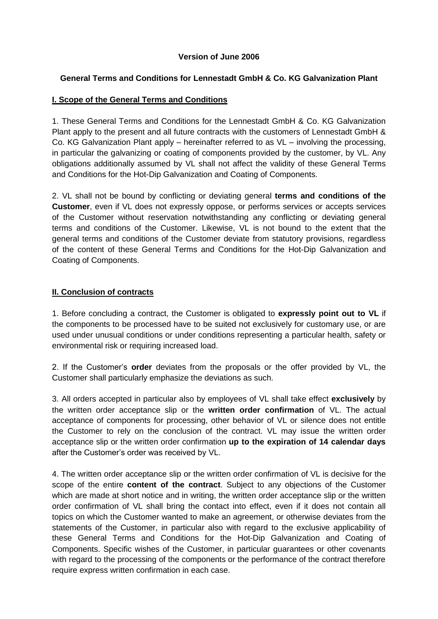#### **Version of June 2006**

#### **General Terms and Conditions for Lennestadt GmbH & Co. KG Galvanization Plant**

#### **I. Scope of the General Terms and Conditions**

1. These General Terms and Conditions for the Lennestadt GmbH & Co. KG Galvanization Plant apply to the present and all future contracts with the customers of Lennestadt GmbH & Co. KG Galvanization Plant apply – hereinafter referred to as VL – involving the processing, in particular the galvanizing or coating of components provided by the customer, by VL. Any obligations additionally assumed by VL shall not affect the validity of these General Terms and Conditions for the Hot-Dip Galvanization and Coating of Components.

2. VL shall not be bound by conflicting or deviating general **terms and conditions of the Customer**, even if VL does not expressly oppose, or performs services or accepts services of the Customer without reservation notwithstanding any conflicting or deviating general terms and conditions of the Customer. Likewise, VL is not bound to the extent that the general terms and conditions of the Customer deviate from statutory provisions, regardless of the content of these General Terms and Conditions for the Hot-Dip Galvanization and Coating of Components.

#### **II. Conclusion of contracts**

1. Before concluding a contract, the Customer is obligated to **expressly point out to VL** if the components to be processed have to be suited not exclusively for customary use, or are used under unusual conditions or under conditions representing a particular health, safety or environmental risk or requiring increased load.

2. If the Customer's **order** deviates from the proposals or the offer provided by VL, the Customer shall particularly emphasize the deviations as such.

3. All orders accepted in particular also by employees of VL shall take effect **exclusively** by the written order acceptance slip or the **written order confirmation** of VL. The actual acceptance of components for processing, other behavior of VL or silence does not entitle the Customer to rely on the conclusion of the contract. VL may issue the written order acceptance slip or the written order confirmation **up to the expiration of 14 calendar days** after the Customer's order was received by VL.

4. The written order acceptance slip or the written order confirmation of VL is decisive for the scope of the entire **content of the contract**. Subject to any objections of the Customer which are made at short notice and in writing, the written order acceptance slip or the written order confirmation of VL shall bring the contact into effect, even if it does not contain all topics on which the Customer wanted to make an agreement, or otherwise deviates from the statements of the Customer, in particular also with regard to the exclusive applicability of these General Terms and Conditions for the Hot-Dip Galvanization and Coating of Components. Specific wishes of the Customer, in particular guarantees or other covenants with regard to the processing of the components or the performance of the contract therefore require express written confirmation in each case.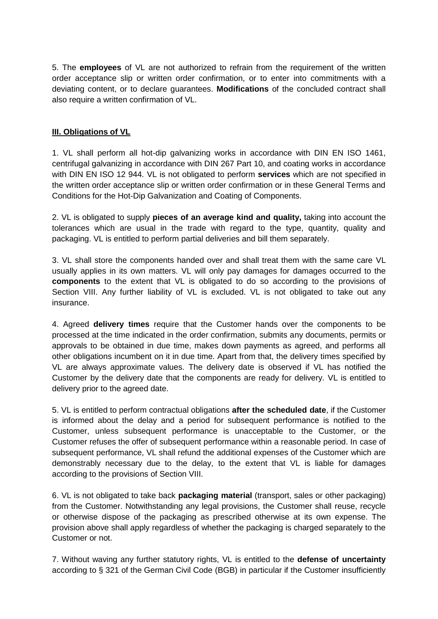5. The **employees** of VL are not authorized to refrain from the requirement of the written order acceptance slip or written order confirmation, or to enter into commitments with a deviating content, or to declare guarantees. **Modifications** of the concluded contract shall also require a written confirmation of VL.

# **III. Obligations of VL**

1. VL shall perform all hot-dip galvanizing works in accordance with DIN EN ISO 1461, centrifugal galvanizing in accordance with DIN 267 Part 10, and coating works in accordance with DIN EN ISO 12 944. VL is not obligated to perform **services** which are not specified in the written order acceptance slip or written order confirmation or in these General Terms and Conditions for the Hot-Dip Galvanization and Coating of Components.

2. VL is obligated to supply **pieces of an average kind and quality,** taking into account the tolerances which are usual in the trade with regard to the type, quantity, quality and packaging. VL is entitled to perform partial deliveries and bill them separately.

3. VL shall store the components handed over and shall treat them with the same care VL usually applies in its own matters. VL will only pay damages for damages occurred to the **components** to the extent that VL is obligated to do so according to the provisions of Section VIII. Any further liability of VL is excluded. VL is not obligated to take out any insurance.

4. Agreed **delivery times** require that the Customer hands over the components to be processed at the time indicated in the order confirmation, submits any documents, permits or approvals to be obtained in due time, makes down payments as agreed, and performs all other obligations incumbent on it in due time. Apart from that, the delivery times specified by VL are always approximate values. The delivery date is observed if VL has notified the Customer by the delivery date that the components are ready for delivery. VL is entitled to delivery prior to the agreed date.

5. VL is entitled to perform contractual obligations **after the scheduled date**, if the Customer is informed about the delay and a period for subsequent performance is notified to the Customer, unless subsequent performance is unacceptable to the Customer, or the Customer refuses the offer of subsequent performance within a reasonable period. In case of subsequent performance, VL shall refund the additional expenses of the Customer which are demonstrably necessary due to the delay, to the extent that VL is liable for damages according to the provisions of Section VIII.

6. VL is not obligated to take back **packaging material** (transport, sales or other packaging) from the Customer. Notwithstanding any legal provisions, the Customer shall reuse, recycle or otherwise dispose of the packaging as prescribed otherwise at its own expense. The provision above shall apply regardless of whether the packaging is charged separately to the Customer or not.

7. Without waving any further statutory rights, VL is entitled to the **defense of uncertainty** according to § 321 of the German Civil Code (BGB) in particular if the Customer insufficiently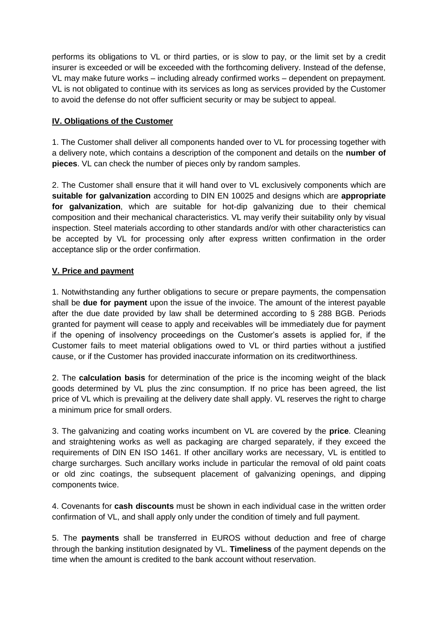performs its obligations to VL or third parties, or is slow to pay, or the limit set by a credit insurer is exceeded or will be exceeded with the forthcoming delivery. Instead of the defense, VL may make future works – including already confirmed works – dependent on prepayment. VL is not obligated to continue with its services as long as services provided by the Customer to avoid the defense do not offer sufficient security or may be subject to appeal.

# **IV. Obligations of the Customer**

1. The Customer shall deliver all components handed over to VL for processing together with a delivery note, which contains a description of the component and details on the **number of pieces**. VL can check the number of pieces only by random samples.

2. The Customer shall ensure that it will hand over to VL exclusively components which are **suitable for galvanization** according to DIN EN 10025 and designs which are **appropriate for galvanization**, which are suitable for hot-dip galvanizing due to their chemical composition and their mechanical characteristics. VL may verify their suitability only by visual inspection. Steel materials according to other standards and/or with other characteristics can be accepted by VL for processing only after express written confirmation in the order acceptance slip or the order confirmation.

# **V. Price and payment**

1. Notwithstanding any further obligations to secure or prepare payments, the compensation shall be **due for payment** upon the issue of the invoice. The amount of the interest payable after the due date provided by law shall be determined according to § 288 BGB. Periods granted for payment will cease to apply and receivables will be immediately due for payment if the opening of insolvency proceedings on the Customer's assets is applied for, if the Customer fails to meet material obligations owed to VL or third parties without a justified cause, or if the Customer has provided inaccurate information on its creditworthiness.

2. The **calculation basis** for determination of the price is the incoming weight of the black goods determined by VL plus the zinc consumption. If no price has been agreed, the list price of VL which is prevailing at the delivery date shall apply. VL reserves the right to charge a minimum price for small orders.

3. The galvanizing and coating works incumbent on VL are covered by the **price**. Cleaning and straightening works as well as packaging are charged separately, if they exceed the requirements of DIN EN ISO 1461. If other ancillary works are necessary, VL is entitled to charge surcharges. Such ancillary works include in particular the removal of old paint coats or old zinc coatings, the subsequent placement of galvanizing openings, and dipping components twice.

4. Covenants for **cash discounts** must be shown in each individual case in the written order confirmation of VL, and shall apply only under the condition of timely and full payment.

5. The **payments** shall be transferred in EUROS without deduction and free of charge through the banking institution designated by VL. **Timeliness** of the payment depends on the time when the amount is credited to the bank account without reservation.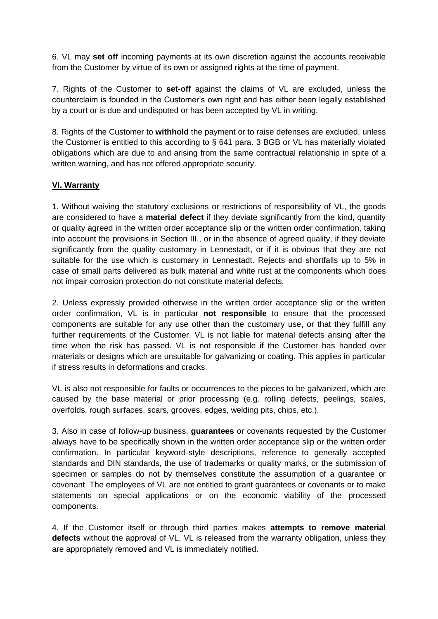6. VL may **set off** incoming payments at its own discretion against the accounts receivable from the Customer by virtue of its own or assigned rights at the time of payment.

7. Rights of the Customer to **set-off** against the claims of VL are excluded, unless the counterclaim is founded in the Customer's own right and has either been legally established by a court or is due and undisputed or has been accepted by VL in writing.

8. Rights of the Customer to **withhold** the payment or to raise defenses are excluded, unless the Customer is entitled to this according to § 641 para. 3 BGB or VL has materially violated obligations which are due to and arising from the same contractual relationship in spite of a written warning, and has not offered appropriate security.

# **VI. Warranty**

1. Without waiving the statutory exclusions or restrictions of responsibility of VL, the goods are considered to have a **material defect** if they deviate significantly from the kind, quantity or quality agreed in the written order acceptance slip or the written order confirmation, taking into account the provisions in Section III., or in the absence of agreed quality, if they deviate significantly from the quality customary in Lennestadt, or if it is obvious that they are not suitable for the use which is customary in Lennestadt. Rejects and shortfalls up to 5% in case of small parts delivered as bulk material and white rust at the components which does not impair corrosion protection do not constitute material defects.

2. Unless expressly provided otherwise in the written order acceptance slip or the written order confirmation, VL is in particular **not responsible** to ensure that the processed components are suitable for any use other than the customary use, or that they fulfill any further requirements of the Customer. VL is not liable for material defects arising after the time when the risk has passed. VL is not responsible if the Customer has handed over materials or designs which are unsuitable for galvanizing or coating. This applies in particular if stress results in deformations and cracks.

VL is also not responsible for faults or occurrences to the pieces to be galvanized, which are caused by the base material or prior processing (e.g. rolling defects, peelings, scales, overfolds, rough surfaces, scars, grooves, edges, welding pits, chips, etc.).

3. Also in case of follow-up business, **guarantees** or covenants requested by the Customer always have to be specifically shown in the written order acceptance slip or the written order confirmation. In particular keyword-style descriptions, reference to generally accepted standards and DIN standards, the use of trademarks or quality marks, or the submission of specimen or samples do not by themselves constitute the assumption of a guarantee or covenant. The employees of VL are not entitled to grant guarantees or covenants or to make statements on special applications or on the economic viability of the processed components.

4. If the Customer itself or through third parties makes **attempts to remove material defects** without the approval of VL, VL is released from the warranty obligation, unless they are appropriately removed and VL is immediately notified.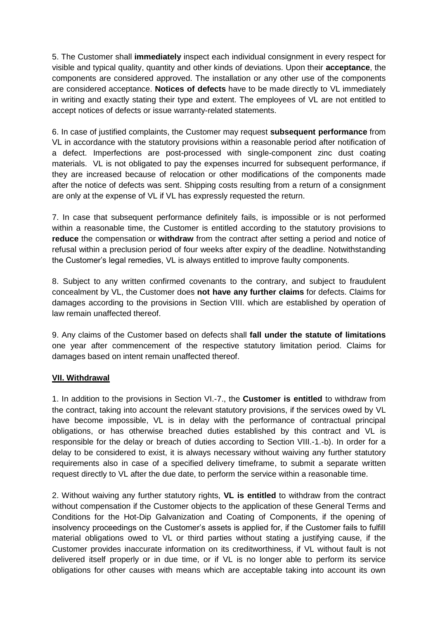5. The Customer shall **immediately** inspect each individual consignment in every respect for visible and typical quality, quantity and other kinds of deviations. Upon their **acceptance**, the components are considered approved. The installation or any other use of the components are considered acceptance. **Notices of defects** have to be made directly to VL immediately in writing and exactly stating their type and extent. The employees of VL are not entitled to accept notices of defects or issue warranty-related statements.

6. In case of justified complaints, the Customer may request **subsequent performance** from VL in accordance with the statutory provisions within a reasonable period after notification of a defect. Imperfections are post-processed with single-component zinc dust coating materials. VL is not obligated to pay the expenses incurred for subsequent performance, if they are increased because of relocation or other modifications of the components made after the notice of defects was sent. Shipping costs resulting from a return of a consignment are only at the expense of VL if VL has expressly requested the return.

7. In case that subsequent performance definitely fails, is impossible or is not performed within a reasonable time, the Customer is entitled according to the statutory provisions to **reduce** the compensation or **withdraw** from the contract after setting a period and notice of refusal within a preclusion period of four weeks after expiry of the deadline. Notwithstanding the Customer's legal remedies, VL is always entitled to improve faulty components.

8. Subject to any written confirmed covenants to the contrary, and subject to fraudulent concealment by VL, the Customer does **not have any further claims** for defects. Claims for damages according to the provisions in Section VIII. which are established by operation of law remain unaffected thereof.

9. Any claims of the Customer based on defects shall **fall under the statute of limitations** one year after commencement of the respective statutory limitation period. Claims for damages based on intent remain unaffected thereof.

# **VII. Withdrawal**

1. In addition to the provisions in Section VI.-7., the **Customer is entitled** to withdraw from the contract, taking into account the relevant statutory provisions, if the services owed by VL have become impossible, VL is in delay with the performance of contractual principal obligations, or has otherwise breached duties established by this contract and VL is responsible for the delay or breach of duties according to Section VIII.-1.-b). In order for a delay to be considered to exist, it is always necessary without waiving any further statutory requirements also in case of a specified delivery timeframe, to submit a separate written request directly to VL after the due date, to perform the service within a reasonable time.

2. Without waiving any further statutory rights, **VL is entitled** to withdraw from the contract without compensation if the Customer objects to the application of these General Terms and Conditions for the Hot-Dip Galvanization and Coating of Components, if the opening of insolvency proceedings on the Customer's assets is applied for, if the Customer fails to fulfill material obligations owed to VL or third parties without stating a justifying cause, if the Customer provides inaccurate information on its creditworthiness, if VL without fault is not delivered itself properly or in due time, or if VL is no longer able to perform its service obligations for other causes with means which are acceptable taking into account its own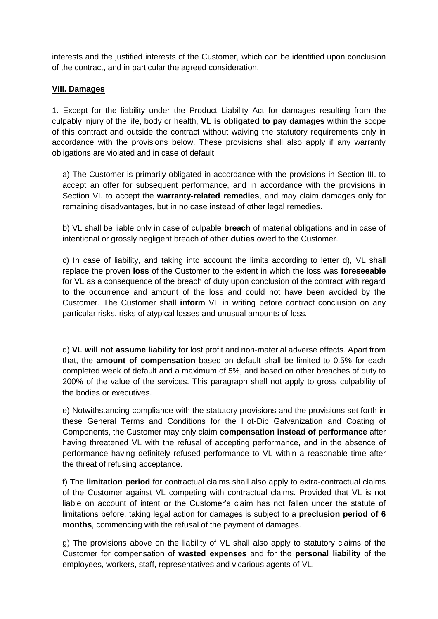interests and the justified interests of the Customer, which can be identified upon conclusion of the contract, and in particular the agreed consideration.

#### **VIII. Damages**

1. Except for the liability under the Product Liability Act for damages resulting from the culpably injury of the life, body or health, **VL is obligated to pay damages** within the scope of this contract and outside the contract without waiving the statutory requirements only in accordance with the provisions below. These provisions shall also apply if any warranty obligations are violated and in case of default:

a) The Customer is primarily obligated in accordance with the provisions in Section III. to accept an offer for subsequent performance, and in accordance with the provisions in Section VI. to accept the **warranty-related remedies**, and may claim damages only for remaining disadvantages, but in no case instead of other legal remedies.

b) VL shall be liable only in case of culpable **breach** of material obligations and in case of intentional or grossly negligent breach of other **duties** owed to the Customer.

c) In case of liability, and taking into account the limits according to letter d), VL shall replace the proven **loss** of the Customer to the extent in which the loss was **foreseeable** for VL as a consequence of the breach of duty upon conclusion of the contract with regard to the occurrence and amount of the loss and could not have been avoided by the Customer. The Customer shall **inform** VL in writing before contract conclusion on any particular risks, risks of atypical losses and unusual amounts of loss.

d) **VL will not assume liability** for lost profit and non-material adverse effects. Apart from that, the **amount of compensation** based on default shall be limited to 0.5% for each completed week of default and a maximum of 5%, and based on other breaches of duty to 200% of the value of the services. This paragraph shall not apply to gross culpability of the bodies or executives.

e) Notwithstanding compliance with the statutory provisions and the provisions set forth in these General Terms and Conditions for the Hot-Dip Galvanization and Coating of Components, the Customer may only claim **compensation instead of performance** after having threatened VL with the refusal of accepting performance, and in the absence of performance having definitely refused performance to VL within a reasonable time after the threat of refusing acceptance.

f) The **limitation period** for contractual claims shall also apply to extra-contractual claims of the Customer against VL competing with contractual claims. Provided that VL is not liable on account of intent or the Customer's claim has not fallen under the statute of limitations before, taking legal action for damages is subject to a **preclusion period of 6 months**, commencing with the refusal of the payment of damages.

g) The provisions above on the liability of VL shall also apply to statutory claims of the Customer for compensation of **wasted expenses** and for the **personal liability** of the employees, workers, staff, representatives and vicarious agents of VL.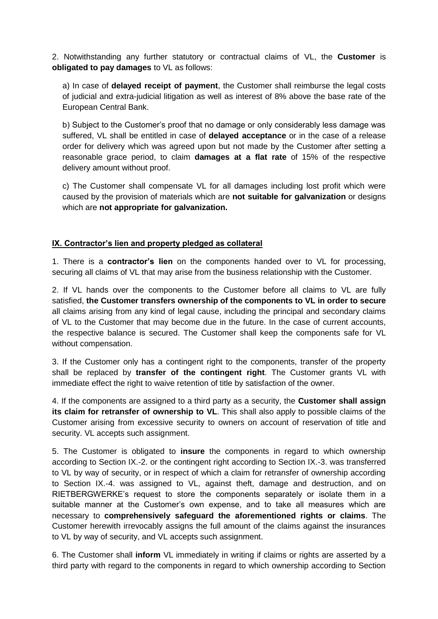2. Notwithstanding any further statutory or contractual claims of VL, the **Customer** is **obligated to pay damages** to VL as follows:

a) In case of **delayed receipt of payment**, the Customer shall reimburse the legal costs of judicial and extra-judicial litigation as well as interest of 8% above the base rate of the European Central Bank.

b) Subject to the Customer's proof that no damage or only considerably less damage was suffered, VL shall be entitled in case of **delayed acceptance** or in the case of a release order for delivery which was agreed upon but not made by the Customer after setting a reasonable grace period, to claim **damages at a flat rate** of 15% of the respective delivery amount without proof.

c) The Customer shall compensate VL for all damages including lost profit which were caused by the provision of materials which are **not suitable for galvanization** or designs which are **not appropriate for galvanization.**

# **IX. Contractor's lien and property pledged as collateral**

1. There is a **contractor's lien** on the components handed over to VL for processing, securing all claims of VL that may arise from the business relationship with the Customer.

2. If VL hands over the components to the Customer before all claims to VL are fully satisfied, **the Customer transfers ownership of the components to VL in order to secure** all claims arising from any kind of legal cause, including the principal and secondary claims of VL to the Customer that may become due in the future. In the case of current accounts, the respective balance is secured. The Customer shall keep the components safe for VL without compensation.

3. If the Customer only has a contingent right to the components, transfer of the property shall be replaced by **transfer of the contingent right**. The Customer grants VL with immediate effect the right to waive retention of title by satisfaction of the owner.

4. If the components are assigned to a third party as a security, the **Customer shall assign its claim for retransfer of ownership to VL**. This shall also apply to possible claims of the Customer arising from excessive security to owners on account of reservation of title and security. VL accepts such assignment.

5. The Customer is obligated to **insure** the components in regard to which ownership according to Section IX.-2. or the contingent right according to Section IX.-3. was transferred to VL by way of security, or in respect of which a claim for retransfer of ownership according to Section IX.-4. was assigned to VL, against theft, damage and destruction, and on RIETBERGWERKE's request to store the components separately or isolate them in a suitable manner at the Customer's own expense, and to take all measures which are necessary to **comprehensively safeguard the aforementioned rights or claims**. The Customer herewith irrevocably assigns the full amount of the claims against the insurances to VL by way of security, and VL accepts such assignment.

6. The Customer shall **inform** VL immediately in writing if claims or rights are asserted by a third party with regard to the components in regard to which ownership according to Section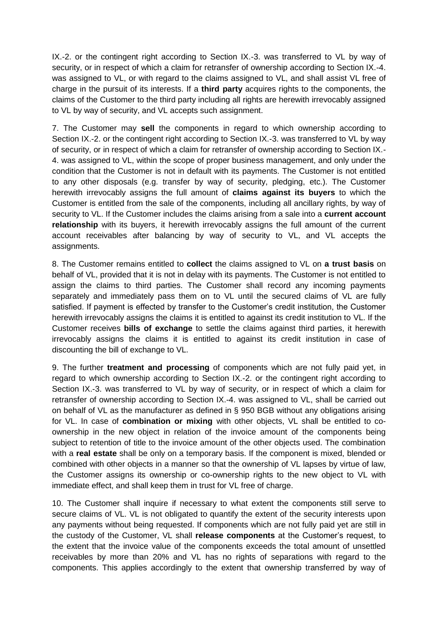IX.-2. or the contingent right according to Section IX.-3. was transferred to VL by way of security, or in respect of which a claim for retransfer of ownership according to Section IX.-4. was assigned to VL, or with regard to the claims assigned to VL, and shall assist VL free of charge in the pursuit of its interests. If a **third party** acquires rights to the components, the claims of the Customer to the third party including all rights are herewith irrevocably assigned to VL by way of security, and VL accepts such assignment.

7. The Customer may **sell** the components in regard to which ownership according to Section IX.-2. or the contingent right according to Section IX.-3. was transferred to VL by way of security, or in respect of which a claim for retransfer of ownership according to Section IX.- 4. was assigned to VL, within the scope of proper business management, and only under the condition that the Customer is not in default with its payments. The Customer is not entitled to any other disposals (e.g. transfer by way of security, pledging, etc.). The Customer herewith irrevocably assigns the full amount of **claims against its buyers** to which the Customer is entitled from the sale of the components, including all ancillary rights, by way of security to VL. If the Customer includes the claims arising from a sale into a **current account relationship** with its buyers, it herewith irrevocably assigns the full amount of the current account receivables after balancing by way of security to VL, and VL accepts the assignments.

8. The Customer remains entitled to **collect** the claims assigned to VL on **a trust basis** on behalf of VL, provided that it is not in delay with its payments. The Customer is not entitled to assign the claims to third parties. The Customer shall record any incoming payments separately and immediately pass them on to VL until the secured claims of VL are fully satisfied. If payment is effected by transfer to the Customer's credit institution, the Customer herewith irrevocably assigns the claims it is entitled to against its credit institution to VL. If the Customer receives **bills of exchange** to settle the claims against third parties, it herewith irrevocably assigns the claims it is entitled to against its credit institution in case of discounting the bill of exchange to VL.

9. The further **treatment and processing** of components which are not fully paid yet, in regard to which ownership according to Section IX.-2. or the contingent right according to Section IX.-3. was transferred to VL by way of security, or in respect of which a claim for retransfer of ownership according to Section IX.-4. was assigned to VL, shall be carried out on behalf of VL as the manufacturer as defined in § 950 BGB without any obligations arising for VL. In case of **combination or mixing** with other objects, VL shall be entitled to coownership in the new object in relation of the invoice amount of the components being subject to retention of title to the invoice amount of the other objects used. The combination with a **real estate** shall be only on a temporary basis. If the component is mixed, blended or combined with other objects in a manner so that the ownership of VL lapses by virtue of law, the Customer assigns its ownership or co-ownership rights to the new object to VL with immediate effect, and shall keep them in trust for VL free of charge.

10. The Customer shall inquire if necessary to what extent the components still serve to secure claims of VL. VL is not obligated to quantify the extent of the security interests upon any payments without being requested. If components which are not fully paid yet are still in the custody of the Customer, VL shall **release components** at the Customer's request, to the extent that the invoice value of the components exceeds the total amount of unsettled receivables by more than 20% and VL has no rights of separations with regard to the components. This applies accordingly to the extent that ownership transferred by way of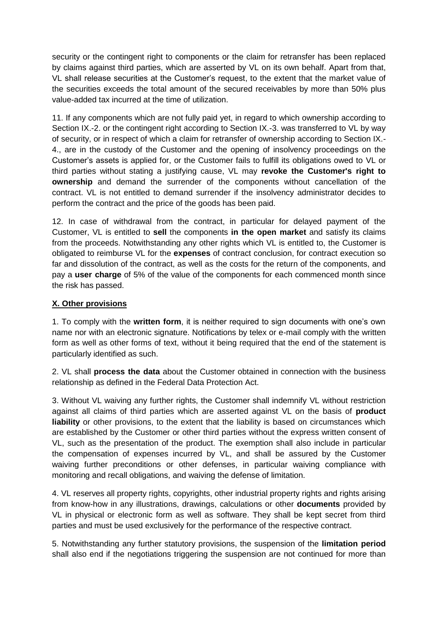security or the contingent right to components or the claim for retransfer has been replaced by claims against third parties, which are asserted by VL on its own behalf. Apart from that, VL shall release securities at the Customer's request, to the extent that the market value of the securities exceeds the total amount of the secured receivables by more than 50% plus value-added tax incurred at the time of utilization.

11. If any components which are not fully paid yet, in regard to which ownership according to Section IX.-2. or the contingent right according to Section IX.-3. was transferred to VL by way of security, or in respect of which a claim for retransfer of ownership according to Section IX.- 4., are in the custody of the Customer and the opening of insolvency proceedings on the Customer's assets is applied for, or the Customer fails to fulfill its obligations owed to VL or third parties without stating a justifying cause, VL may **revoke the Customer's right to ownership** and demand the surrender of the components without cancellation of the contract. VL is not entitled to demand surrender if the insolvency administrator decides to perform the contract and the price of the goods has been paid.

12. In case of withdrawal from the contract, in particular for delayed payment of the Customer, VL is entitled to **sell** the components **in the open market** and satisfy its claims from the proceeds. Notwithstanding any other rights which VL is entitled to, the Customer is obligated to reimburse VL for the **expenses** of contract conclusion, for contract execution so far and dissolution of the contract, as well as the costs for the return of the components, and pay a **user charge** of 5% of the value of the components for each commenced month since the risk has passed.

#### **X. Other provisions**

1. To comply with the **written form**, it is neither required to sign documents with one's own name nor with an electronic signature. Notifications by telex or e-mail comply with the written form as well as other forms of text, without it being required that the end of the statement is particularly identified as such.

2. VL shall **process the data** about the Customer obtained in connection with the business relationship as defined in the Federal Data Protection Act.

3. Without VL waiving any further rights, the Customer shall indemnify VL without restriction against all claims of third parties which are asserted against VL on the basis of **product liability** or other provisions, to the extent that the liability is based on circumstances which are established by the Customer or other third parties without the express written consent of VL, such as the presentation of the product. The exemption shall also include in particular the compensation of expenses incurred by VL, and shall be assured by the Customer waiving further preconditions or other defenses, in particular waiving compliance with monitoring and recall obligations, and waiving the defense of limitation.

4. VL reserves all property rights, copyrights, other industrial property rights and rights arising from know-how in any illustrations, drawings, calculations or other **documents** provided by VL in physical or electronic form as well as software. They shall be kept secret from third parties and must be used exclusively for the performance of the respective contract.

5. Notwithstanding any further statutory provisions, the suspension of the **limitation period** shall also end if the negotiations triggering the suspension are not continued for more than